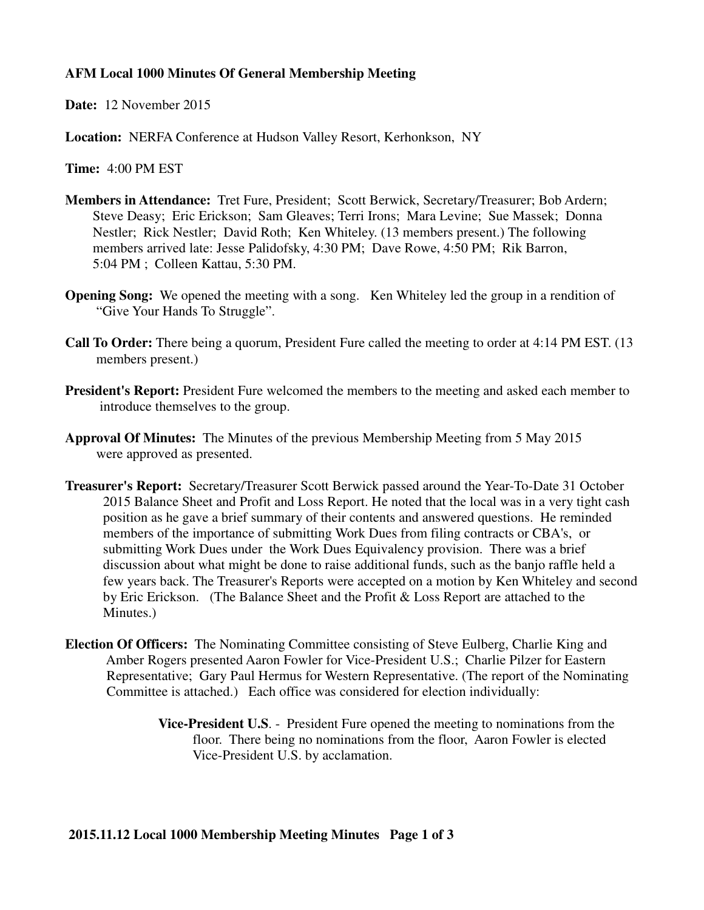#### **AFM Local 1000 Minutes Of General Membership Meeting**

**Date:** 12 November 2015

**Location:** NERFA Conference at Hudson Valley Resort, Kerhonkson, NY

**Time:** 4:00 PM EST

- **Members in Attendance:** Tret Fure, President; Scott Berwick, Secretary/Treasurer; Bob Ardern; Steve Deasy; Eric Erickson; Sam Gleaves; Terri Irons; Mara Levine; Sue Massek; Donna Nestler; Rick Nestler; David Roth; Ken Whiteley. (13 members present.) The following members arrived late: Jesse Palidofsky, 4:30 PM; Dave Rowe, 4:50 PM; Rik Barron, 5:04 PM ; Colleen Kattau, 5:30 PM.
- **Opening Song:** We opened the meeting with a song. Ken Whiteley led the group in a rendition of "Give Your Hands To Struggle".
- **Call To Order:** There being a quorum, President Fure called the meeting to order at 4:14 PM EST. (13 members present.)
- **President's Report:** President Fure welcomed the members to the meeting and asked each member to introduce themselves to the group.
- **Approval Of Minutes:** The Minutes of the previous Membership Meeting from 5 May 2015 were approved as presented.
- **Treasurer's Report:** Secretary/Treasurer Scott Berwick passed around the Year-To-Date 31 October 2015 Balance Sheet and Profit and Loss Report. He noted that the local was in a very tight cash position as he gave a brief summary of their contents and answered questions. He reminded members of the importance of submitting Work Dues from filing contracts or CBA's, or submitting Work Dues under the Work Dues Equivalency provision. There was a brief discussion about what might be done to raise additional funds, such as the banjo raffle held a few years back. The Treasurer's Reports were accepted on a motion by Ken Whiteley and second by Eric Erickson. (The Balance Sheet and the Profit & Loss Report are attached to the Minutes.)
- **Election Of Officers:** The Nominating Committee consisting of Steve Eulberg, Charlie King and Amber Rogers presented Aaron Fowler for Vice-President U.S.; Charlie Pilzer for Eastern Representative; Gary Paul Hermus for Western Representative. (The report of the Nominating Committee is attached.) Each office was considered for election individually:
	- **Vice-President U.S**. President Fure opened the meeting to nominations from the floor. There being no nominations from the floor, Aaron Fowler is elected Vice-President U.S. by acclamation.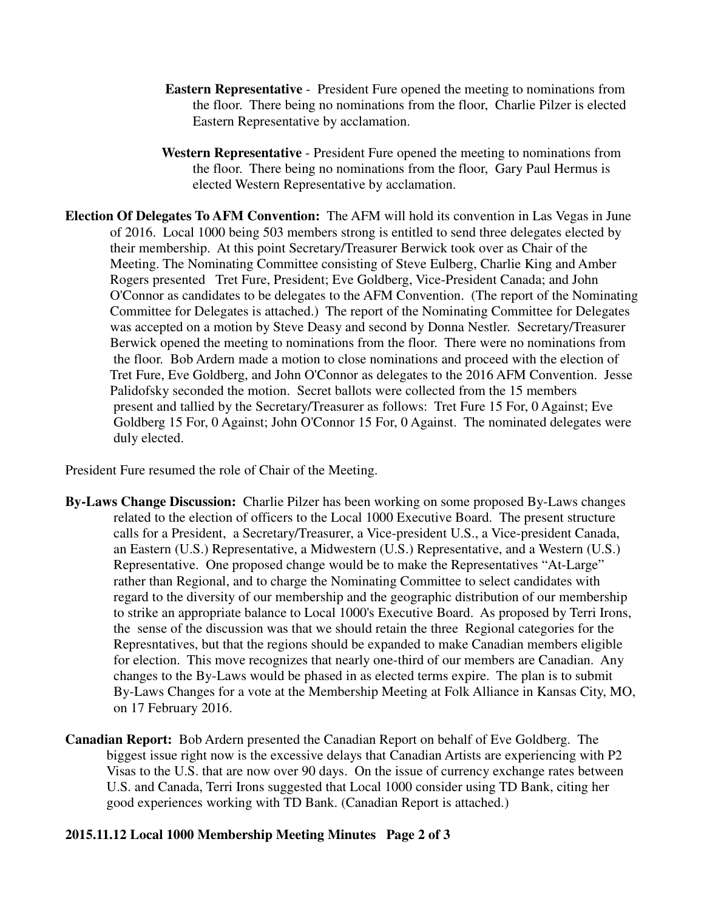- **Eastern Representative** President Fure opened the meeting to nominations from the floor. There being no nominations from the floor, Charlie Pilzer is elected Eastern Representative by acclamation.
- **Western Representative** President Fure opened the meeting to nominations from the floor. There being no nominations from the floor, Gary Paul Hermus is elected Western Representative by acclamation.
- **Election Of Delegates To AFM Convention:** The AFM will hold its convention in Las Vegas in June of 2016. Local 1000 being 503 members strong is entitled to send three delegates elected by their membership. At this point Secretary/Treasurer Berwick took over as Chair of the Meeting. The Nominating Committee consisting of Steve Eulberg, Charlie King and Amber Rogers presented Tret Fure, President; Eve Goldberg, Vice-President Canada; and John O'Connor as candidates to be delegates to the AFM Convention. (The report of the Nominating Committee for Delegates is attached.) The report of the Nominating Committee for Delegates was accepted on a motion by Steve Deasy and second by Donna Nestler. Secretary/Treasurer Berwick opened the meeting to nominations from the floor. There were no nominations from the floor. Bob Ardern made a motion to close nominations and proceed with the election of Tret Fure, Eve Goldberg, and John O'Connor as delegates to the 2016 AFM Convention. Jesse Palidofsky seconded the motion. Secret ballots were collected from the 15 members present and tallied by the Secretary/Treasurer as follows: Tret Fure 15 For, 0 Against; Eve Goldberg 15 For, 0 Against; John O'Connor 15 For, 0 Against. The nominated delegates were duly elected.

President Fure resumed the role of Chair of the Meeting.

- **By-Laws Change Discussion:** Charlie Pilzer has been working on some proposed By-Laws changes related to the election of officers to the Local 1000 Executive Board. The present structure calls for a President, a Secretary/Treasurer, a Vice-president U.S., a Vice-president Canada, an Eastern (U.S.) Representative, a Midwestern (U.S.) Representative, and a Western (U.S.) Representative. One proposed change would be to make the Representatives "At-Large" rather than Regional, and to charge the Nominating Committee to select candidates with regard to the diversity of our membership and the geographic distribution of our membership to strike an appropriate balance to Local 1000's Executive Board. As proposed by Terri Irons, the sense of the discussion was that we should retain the three Regional categories for the Represntatives, but that the regions should be expanded to make Canadian members eligible for election. This move recognizes that nearly one-third of our members are Canadian. Any changes to the By-Laws would be phased in as elected terms expire. The plan is to submit By-Laws Changes for a vote at the Membership Meeting at Folk Alliance in Kansas City, MO, on 17 February 2016.
- **Canadian Report:** Bob Ardern presented the Canadian Report on behalf of Eve Goldberg. The biggest issue right now is the excessive delays that Canadian Artists are experiencing with P2 Visas to the U.S. that are now over 90 days. On the issue of currency exchange rates between U.S. and Canada, Terri Irons suggested that Local 1000 consider using TD Bank, citing her good experiences working with TD Bank. (Canadian Report is attached.)

#### **2015.11.12 Local 1000 Membership Meeting Minutes Page 2 of 3**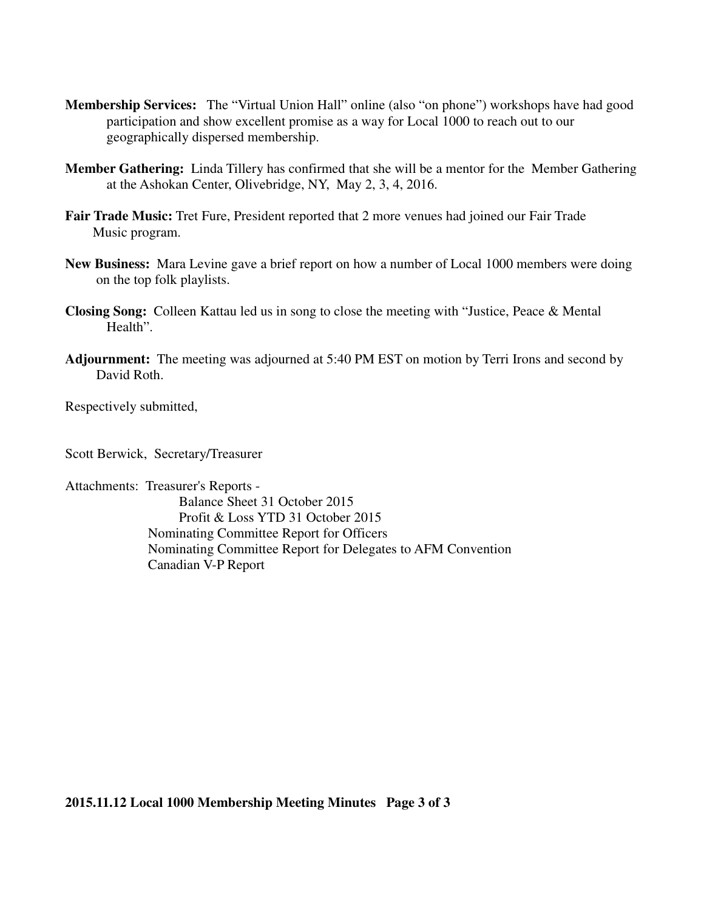- **Membership Services:** The "Virtual Union Hall" online (also "on phone") workshops have had good participation and show excellent promise as a way for Local 1000 to reach out to our geographically dispersed membership.
- **Member Gathering:** Linda Tillery has confirmed that she will be a mentor for the Member Gathering at the Ashokan Center, Olivebridge, NY, May 2, 3, 4, 2016.
- **Fair Trade Music:** Tret Fure, President reported that 2 more venues had joined our Fair Trade Music program.
- **New Business:** Mara Levine gave a brief report on how a number of Local 1000 members were doing on the top folk playlists.
- **Closing Song:** Colleen Kattau led us in song to close the meeting with "Justice, Peace & Mental Health".
- **Adjournment:** The meeting was adjourned at 5:40 PM EST on motion by Terri Irons and second by David Roth.

Respectively submitted,

Scott Berwick, Secretary/Treasurer

Attachments: Treasurer's Reports - Balance Sheet 31 October 2015 Profit & Loss YTD 31 October 2015 Nominating Committee Report for Officers Nominating Committee Report for Delegates to AFM Convention Canadian V-P Report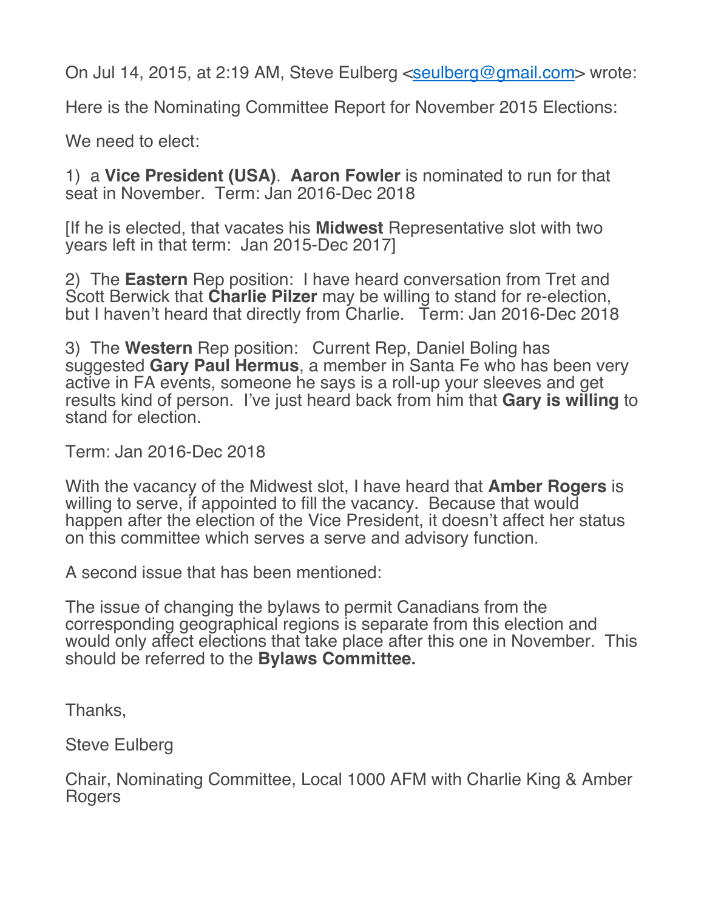On Jul 14, 2015, at 2:19 AM, Steve Eulberg <seulberg@gmail.com> wrote:

Here is the Nominating Committee Report for November 2015 Elections:

We need to elect:

1) a **Vice President (USA)**. **Aaron Fowler** is nominated to run for that seat in November. Term: Jan 2016-Dec 2018

[If he is elected, that vacates his **Midwest** Representative slot with two years left in that term: Jan 2015-Dec 2017]

2) The **Eastern** Rep position: I have heard conversation from Tret and Scott Berwick that **Charlie Pilzer** may be willing to stand for re-election, but I haven't heard that directly from Charlie. Term: Jan 2016-Dec 2018

3) The **Western** Rep position: Current Rep, Daniel Boling has suggested **Gary Paul Hermus**, a member in Santa Fe who has been very active in FA events, someone he says is a roll-up your sleeves and get results kind of person. I've just heard back from him that **Gary is willing** to stand for election.

Term: Jan 2016-Dec 2018

With the vacancy of the Midwest slot, I have heard that **Amber Rogers** is willing to serve, if appointed to fill the vacancy. Because that would happen after the election of the Vice President, it doesn't affect her status on this committee which serves a serve and advisory function.

A second issue that has been mentioned:

The issue of changing the bylaws to permit Canadians from the corresponding geographical regions is separate from this election and would only affect elections that take place after this one in November. This should be referred to the **Bylaws Committee.**

Thanks,

Steve Eulberg

Chair, Nominating Committee, Local 1000 AFM with Charlie King & Amber Rogers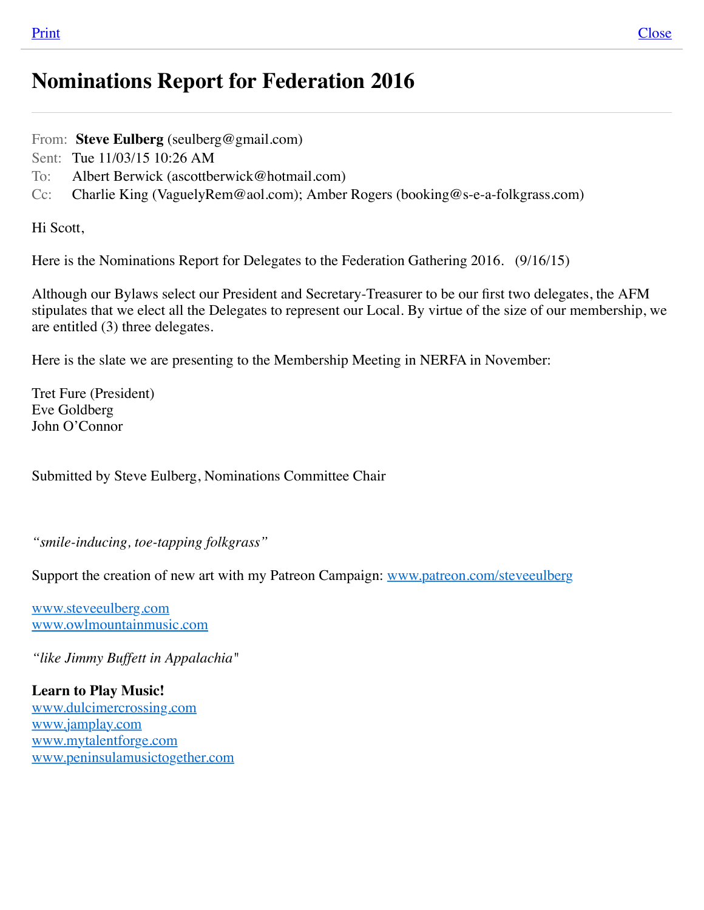# **Nominations Report for Federation 2016**

From: **Steve Eulberg** (seulberg@gmail.com)

Sent: Tue 11/03/15 10:26 AM

To: Albert Berwick (ascottberwick@hotmail.com)

Cc: Charlie King (VaguelyRem@aol.com); Amber Rogers (booking@s-e-a-folkgrass.com)

Hi Scott,

Here is the Nominations Report for Delegates to the Federation Gathering 2016. (9/16/15)

Although our Bylaws select our President and Secretary-Treasurer to be our first two delegates, the AFM stipulates that we elect all the Delegates to represent our Local. By virtue of the size of our membership, we are entitled (3) three delegates.

Here is the slate we are presenting to the Membership Meeting in NERFA in November:

Tret Fure (President) Eve Goldberg John O'Connor

Submitted by Steve Eulberg, Nominations Committee Chair

*"smile-inducing, toe-tapping folkgrass"*

Support the creation of new art with my Patreon Campaign: [www.patreon.com/steveeulberg](http://www.patreon.com/steveeulberg)

[www.steveeulberg.com](http://www.steveeulberg.com/) [www.owlmountainmusic.com](http://www.owlmountainmusic.com/)

*"like Jimmy Buffett in Appalachia"*

**Learn to Play Music!** [www.dulcimercrossing.com](http://www.dulcimercrossing.com/) [www.jamplay.com](http://www.jamplay.com/) [www.mytalentforge.com](http://www.mytalentforge.com/) [www.peninsulamusictogether.com](http://www.peninsulamusictogether.com/)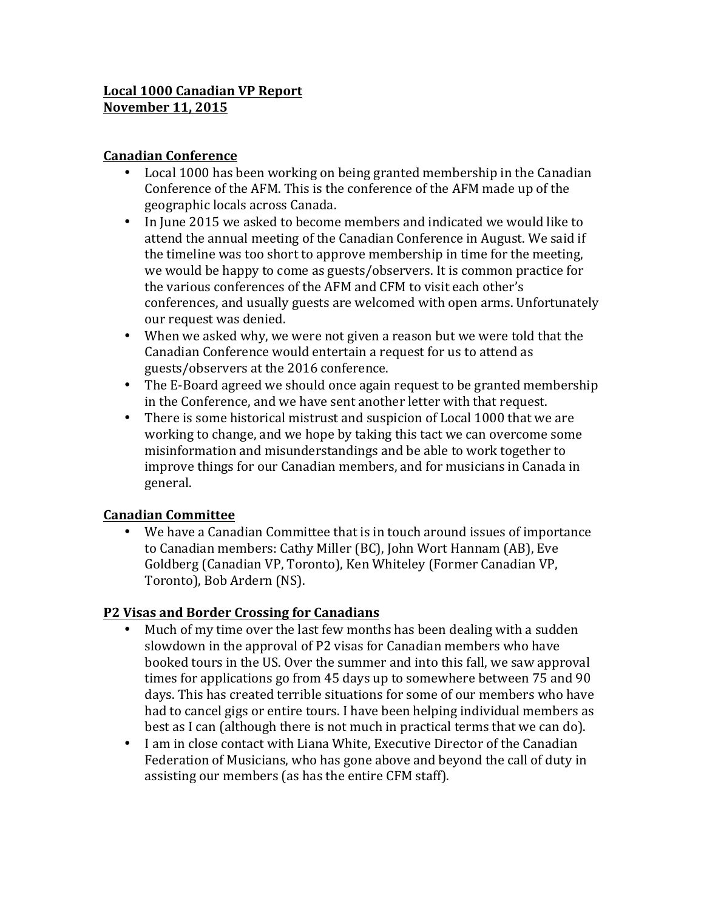# **Local 1000 Canadian VP Report November 11, 2015**

## **Canadian Conference**

- Local 1000 has been working on being granted membership in the Canadian Conference of the AFM. This is the conference of the AFM made up of the geographic locals across Canada.
- In June 2015 we asked to become members and indicated we would like to attend the annual meeting of the Canadian Conference in August. We said if the timeline was too short to approve membership in time for the meeting, we would be happy to come as guests/observers. It is common practice for the various conferences of the AFM and CFM to visit each other's conferences, and usually guests are welcomed with open arms. Unfortunately our request was denied.
- When we asked why, we were not given a reason but we were told that the Canadian Conference would entertain a request for us to attend as guests/observers at the 2016 conference.
- The E-Board agreed we should once again request to be granted membership in the Conference, and we have sent another letter with that request.
- There is some historical mistrust and suspicion of Local 1000 that we are working to change, and we hope by taking this tact we can overcome some misinformation and misunderstandings and be able to work together to improve things for our Canadian members, and for musicians in Canada in general.

#### **Canadian Committee**

We have a Canadian Committee that is in touch around issues of importance to Canadian members: Cathy Miller (BC), John Wort Hannam (AB), Eve Goldberg (Canadian VP, Toronto), Ken Whiteley (Former Canadian VP, Toronto), Bob Ardern (NS).

# **P2 Visas and Border Crossing for Canadians**

- Much of my time over the last few months has been dealing with a sudden slowdown in the approval of P2 visas for Canadian members who have booked tours in the US. Over the summer and into this fall, we saw approval times for applications go from 45 days up to somewhere between  $75$  and  $90$ days. This has created terrible situations for some of our members who have had to cancel gigs or entire tours. I have been helping individual members as best as I can (although there is not much in practical terms that we can do).
- I am in close contact with Liana White, Executive Director of the Canadian Federation of Musicians, who has gone above and beyond the call of duty in assisting our members (as has the entire CFM staff).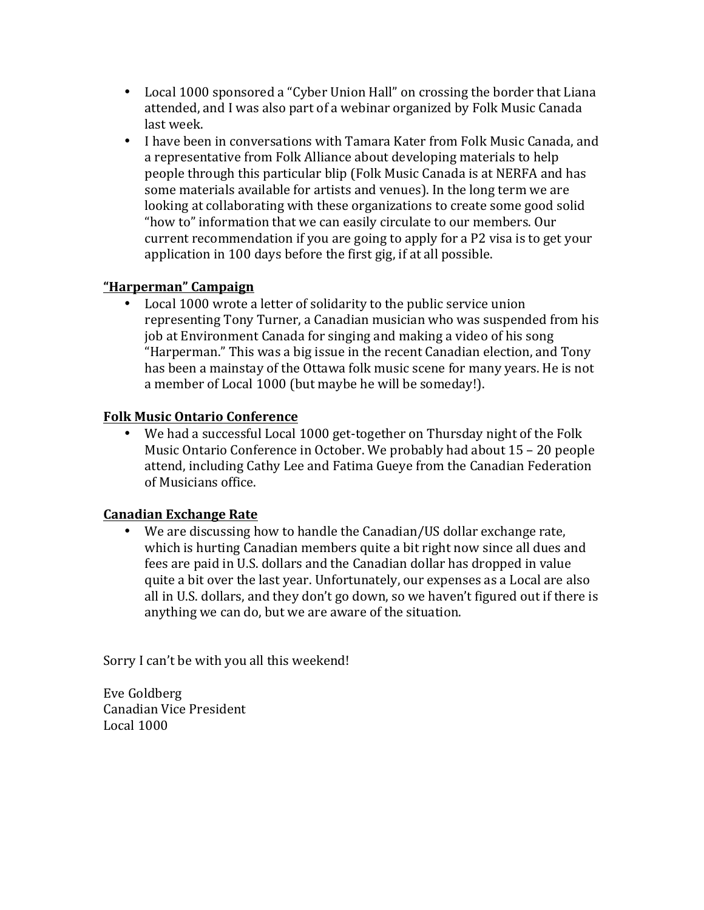- Local 1000 sponsored a "Cyber Union Hall" on crossing the border that Liana attended, and I was also part of a webinar organized by Folk Music Canada last week.
- I have been in conversations with Tamara Kater from Folk Music Canada, and a representative from Folk Alliance about developing materials to help people through this particular blip (Folk Music Canada is at NERFA and has some materials available for artists and venues). In the long term we are looking at collaborating with these organizations to create some good solid "how to" information that we can easily circulate to our members. Our current recommendation if you are going to apply for a P2 visa is to get your application in 100 days before the first gig, if at all possible.

# **"Harperman" Campaign**

Local 1000 wrote a letter of solidarity to the public service union representing Tony Turner, a Canadian musician who was suspended from his job at Environment Canada for singing and making a video of his song "Harperman." This was a big issue in the recent Canadian election, and Tony has been a mainstay of the Ottawa folk music scene for many years. He is not a member of Local 1000 (but maybe he will be someday!).

### **Folk Music Ontario Conference**

• We had a successful Local 1000 get-together on Thursday night of the Folk Music Ontario Conference in October. We probably had about 15 – 20 people attend, including Cathy Lee and Fatima Gueye from the Canadian Federation of Musicians office.

# **Canadian Exchange Rate**

We are discussing how to handle the Canadian/US dollar exchange rate, which is hurting Canadian members quite a bit right now since all dues and fees are paid in U.S. dollars and the Canadian dollar has dropped in value quite a bit over the last year. Unfortunately, our expenses as a Local are also all in U.S. dollars, and they don't go down, so we haven't figured out if there is anything we can do, but we are aware of the situation.

Sorry I can't be with you all this weekend!

Eve Goldberg Canadian Vice President Local  $1000$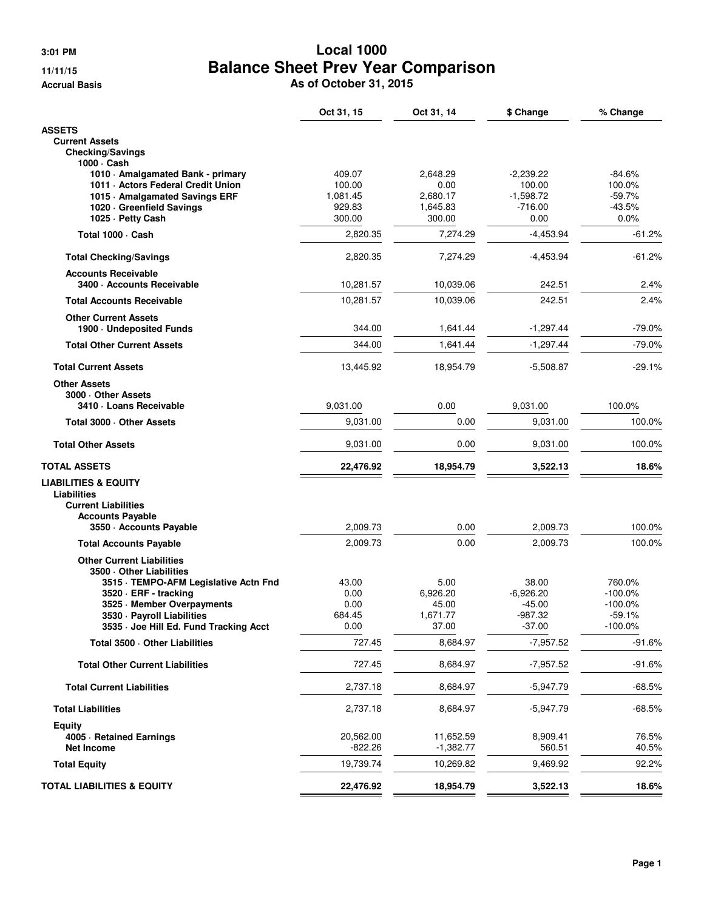# **3:01 PM Local 1000 11/11/15 Balance Sheet Prev Year Comparison**

**Accrual Basis As of October 31, 2015**

|                                                                | Oct 31, 15    | Oct 31, 14       | \$ Change            | % Change             |
|----------------------------------------------------------------|---------------|------------------|----------------------|----------------------|
| <b>ASSETS</b>                                                  |               |                  |                      |                      |
| <b>Current Assets</b>                                          |               |                  |                      |                      |
| <b>Checking/Savings</b>                                        |               |                  |                      |                      |
| 1000 · Cash<br>1010 - Amalgamated Bank - primary               | 409.07        | 2,648.29         | $-2,239.22$          | $-84.6%$             |
| 1011 - Actors Federal Credit Union                             | 100.00        | 0.00             | 100.00               | 100.0%               |
| 1015 Amalgamated Savings ERF                                   | 1,081.45      | 2,680.17         | $-1,598.72$          | $-59.7%$             |
| 1020 · Greenfield Savings                                      | 929.83        | 1,645.83         | $-716.00$            | $-43.5%$             |
| 1025 · Petty Cash                                              | 300.00        | 300.00           | 0.00                 | 0.0%                 |
| Total 1000 · Cash                                              | 2,820.35      | 7,274.29         | $-4,453.94$          | $-61.2\%$            |
| <b>Total Checking/Savings</b>                                  | 2,820.35      | 7,274.29         | $-4,453.94$          | $-61.2\%$            |
| <b>Accounts Receivable</b>                                     |               |                  |                      |                      |
| 3400 Accounts Receivable                                       | 10,281.57     | 10,039.06        | 242.51               | 2.4%                 |
| <b>Total Accounts Receivable</b>                               | 10,281.57     | 10,039.06        | 242.51               | 2.4%                 |
| <b>Other Current Assets</b>                                    |               |                  |                      |                      |
| 1900 - Undeposited Funds                                       | 344.00        | 1,641.44         | $-1,297.44$          | $-79.0%$             |
| <b>Total Other Current Assets</b>                              | 344.00        | 1,641.44         | $-1,297.44$          | $-79.0%$             |
| <b>Total Current Assets</b>                                    | 13,445.92     | 18,954.79        | $-5,508.87$          | $-29.1%$             |
| <b>Other Assets</b>                                            |               |                  |                      |                      |
| 3000 Other Assets<br>3410 · Loans Receivable                   | 9.031.00      | 0.00             | 9,031.00             | 100.0%               |
| Total 3000 - Other Assets                                      | 9,031.00      | 0.00             | 9,031.00             | 100.0%               |
| <b>Total Other Assets</b>                                      | 9,031.00      | 0.00             | 9,031.00             | 100.0%               |
| TOTAL ASSETS                                                   | 22,476.92     | 18,954.79        | 3,522.13             | 18.6%                |
| <b>LIABILITIES &amp; EQUITY</b>                                |               |                  |                      |                      |
| Liabilities                                                    |               |                  |                      |                      |
| <b>Current Liabilities</b>                                     |               |                  |                      |                      |
| <b>Accounts Payable</b>                                        | 2,009.73      | 0.00             |                      |                      |
| 3550 Accounts Payable                                          |               |                  | 2,009.73             | 100.0%               |
| <b>Total Accounts Payable</b>                                  | 2,009.73      | 0.00             | 2,009.73             | 100.0%               |
| <b>Other Current Liabilities</b>                               |               |                  |                      |                      |
| 3500 Other Liabilities                                         |               |                  |                      |                      |
| 3515 · TEMPO-AFM Legislative Actn Fnd<br>3520 · ERF - tracking | 43.00<br>0.00 | 5.00<br>6,926.20 | 38.00<br>$-6,926.20$ | 760.0%<br>$-100.0\%$ |
| 3525 · Member Overpayments                                     | 0.00          | 45.00            | $-45.00$             | $-100.0\%$           |
| 3530 - Payroll Liabilities                                     | 684.45        | 1,671.77         | -987.32              | $-59.1%$             |
| 3535 Goe Hill Ed. Fund Tracking Acct                           | 0.00          | 37.00            | -37.00               | $-100.0\%$           |
| Total 3500 · Other Liabilities                                 | 727.45        | 8,684.97         | $-7,957.52$          | $-91.6%$             |
| <b>Total Other Current Liabilities</b>                         | 727.45        | 8,684.97         | $-7,957.52$          | $-91.6%$             |
|                                                                |               | 8,684.97         |                      | $-68.5%$             |
| <b>Total Current Liabilities</b>                               | 2,737.18      |                  | -5,947.79            |                      |
| <b>Total Liabilities</b>                                       | 2,737.18      | 8,684.97         | -5,947.79            | $-68.5%$             |
| Equity<br>4005 · Retained Earnings                             | 20,562.00     | 11,652.59        | 8,909.41             | 76.5%                |
| <b>Net Income</b>                                              | $-822.26$     | $-1,382.77$      | 560.51               | 40.5%                |
| <b>Total Equity</b>                                            | 19,739.74     | 10,269.82        | 9,469.92             | 92.2%                |
| <b>TOTAL LIABILITIES &amp; EQUITY</b>                          | 22,476.92     | 18,954.79        | 3,522.13             | 18.6%                |
|                                                                |               |                  |                      |                      |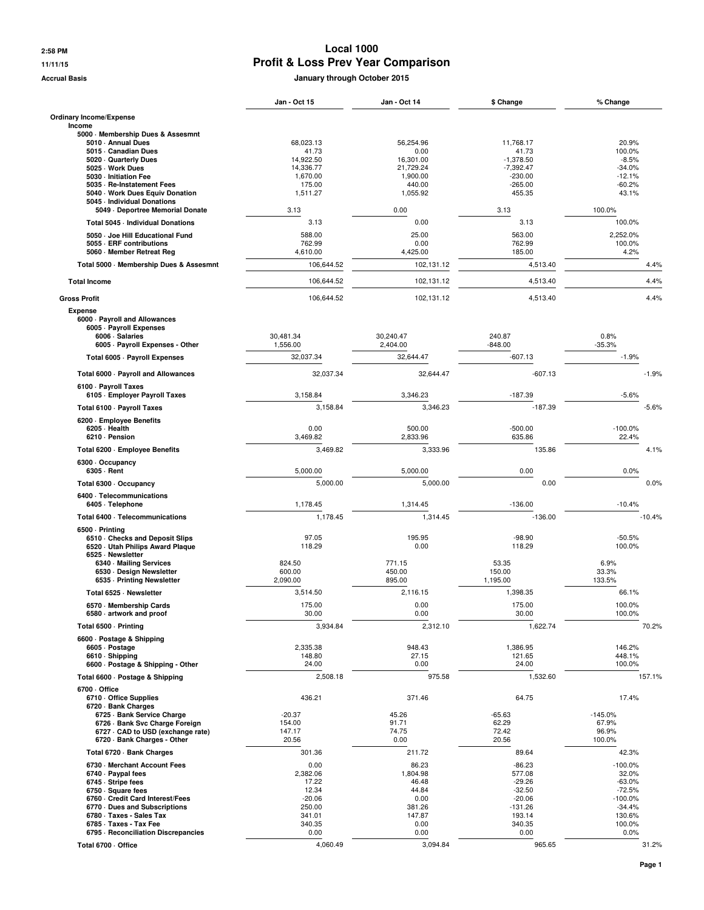#### **2:58 PM Local 1000 11/11/15 Profit & Loss Prev Year Comparison**

**Accrual Basis January through October 2015**

|                                                                  | Jan - Oct 15          | <b>Jan - Oct 14</b>   | \$ Change                | % Change               |
|------------------------------------------------------------------|-----------------------|-----------------------|--------------------------|------------------------|
| Ordinary Income/Expense                                          |                       |                       |                          |                        |
| Income                                                           |                       |                       |                          |                        |
| 5000 Membership Dues & Assesmnt<br>5010 - Annual Dues            | 68,023.13             | 56,254.96             | 11,768.17                | 20.9%                  |
| 5015 Canadian Dues                                               | 41.73                 | 0.00                  | 41.73                    | 100.0%                 |
| 5020 · Quarterly Dues                                            | 14,922.50             | 16,301.00             | $-1,378.50$              | $-8.5%$                |
| 5025 · Work Dues<br>5030 - Initiation Fee                        | 14,336.77<br>1,670.00 | 21,729.24<br>1,900.00 | $-7,392.47$<br>$-230.00$ | $-34.0%$<br>$-12.1%$   |
| 5035 - Re-Instatement Fees                                       | 175.00                | 440.00                | $-265.00$                | $-60.2%$               |
| 5040 Work Dues Equiv Donation                                    | 1,511.27              | 1,055.92              | 455.35                   | 43.1%                  |
| 5045 - Individual Donations<br>5049 - Deportree Memorial Donate  | 3.13                  | 0.00                  | 3.13                     | 100.0%                 |
| Total 5045 - Individual Donations                                | 3.13                  | 0.00                  | 3.13                     | 100.0%                 |
|                                                                  |                       | 25.00                 |                          | 2.252.0%               |
| 5050 - Joe Hill Educational Fund<br>5055 - ERF contributions     | 588.00<br>762.99      | 0.00                  | 563.00<br>762.99         | 100.0%                 |
| 5060 Member Retreat Reg                                          | 4,610.00              | 4,425.00              | 185.00                   | 4.2%                   |
| Total 5000 · Membership Dues & Assesmnt                          | 106,644.52            | 102,131.12            | 4,513.40                 | 4.4%                   |
| <b>Total Income</b>                                              | 106,644.52            | 102,131.12            | 4,513.40                 | 4.4%                   |
| <b>Gross Profit</b>                                              | 106,644.52            | 102,131.12            | 4,513.40                 | 4.4%                   |
| <b>Expense</b>                                                   |                       |                       |                          |                        |
| 6000 - Payroll and Allowances                                    |                       |                       |                          |                        |
| 6005 - Payroll Expenses<br>6006 · Salaries                       | 30,481.34             | 30,240.47             | 240.87                   | 0.8%                   |
| 6005 - Payroll Expenses - Other                                  | 1,556.00              | 2,404.00              | $-848.00$                | $-35.3%$               |
| Total 6005 · Payroll Expenses                                    | 32,037.34             | 32.644.47             | $-607.13$                | $-1.9%$                |
| Total 6000 - Payroll and Allowances                              | 32,037.34             | 32,644.47             | $-607.13$                | $-1.9%$                |
| 6100 - Payroll Taxes                                             |                       |                       |                          |                        |
| 6105 · Employer Payroll Taxes                                    | 3,158.84              | 3,346.23              | $-187.39$                | $-5.6%$                |
| Total 6100 - Payroll Taxes                                       | 3,158.84              | 3.346.23              | $-187.39$                | $-5.6%$                |
| 6200 · Employee Benefits                                         |                       |                       |                          |                        |
| 6205 · Health<br>6210 · Pension                                  | 0.00<br>3,469.82      | 500.00<br>2,833.96    | $-500.00$<br>635.86      | $-100.0%$<br>22.4%     |
| Total 6200 - Employee Benefits                                   | 3,469.82              | 3,333.96              | 135.86                   | 4.1%                   |
| 6300 · Occupancy                                                 |                       |                       |                          |                        |
| 6305 - Rent                                                      | 5,000.00              | 5,000.00              | 0.00                     | 0.0%                   |
| Total 6300 · Occupancy                                           | 5,000.00              | 5,000.00              | 0.00                     | 0.0%                   |
| 6400 · Telecommunications                                        | 1,178.45              |                       | $-136.00$                | $-10.4%$               |
| 6405 · Telephone                                                 | 1,178.45              | 1,314.45<br>1,314.45  | $-136.00$                | $-10.4%$               |
| Total 6400 - Telecommunications                                  |                       |                       |                          |                        |
| 6500 · Printing<br>6510 Checks and Deposit Slips                 | 97.05                 | 195.95                | $-98.90$                 | $-50.5%$               |
| 6520 Utah Philips Award Plaque                                   | 118.29                | 0.00                  | 118.29                   | 100.0%                 |
| 6525 · Newsletter<br>6340 - Mailing Services                     | 824.50                | 771.15                | 53.35                    | 6.9%                   |
| 6530 · Design Newsletter                                         | 600.00                | 450.00                | 150.00                   | 33.3%                  |
| 6535 - Printing Newsletter                                       | 2,090.00              | 895.00                | 1,195.00                 | 133.5%                 |
| Total 6525 · Newsletter                                          | 3,514.50              | 2.116.15              | 1,398.35                 | 66.1%                  |
| 6570 - Membership Cards                                          | 175.00                | 0.00                  | 175.00                   | 100.0%                 |
| 6580 artwork and proof                                           | 30.00                 | 0.00                  | 30.00                    | 100.0%                 |
| Total 6500 · Printing                                            | 3,934.84              | 2,312.10              | 1,622.74                 | 70.2%                  |
| 6600 · Postage & Shipping                                        | 2,335.38              | 948.43                | 1,386.95                 | 146.2%                 |
| 6605 - Postage<br>6610 · Shipping                                | 148.80                | 27.15                 | 121.65                   | 448.1%                 |
| 6600 · Postage & Shipping - Other                                | 24.00                 | 0.00                  | 24.00                    | 100.0%                 |
| Total 6600 · Postage & Shipping                                  | 2,508.18              | 975.58                | 1,532.60                 | 157.1%                 |
| 6700 Office                                                      |                       |                       |                          |                        |
| 6710 Office Supplies<br>6720 · Bank Charges                      | 436.21                | 371.46                | 64.75                    | 17.4%                  |
| 6725 · Bank Service Charge                                       | $-20.37$              | 45.26                 | $-65.63$                 | $-145.0%$              |
| 6726 - Bank Svc Charge Foreign                                   | 154.00                | 91.71                 | 62.29                    | 67.9%                  |
| 6727 · CAD to USD (exchange rate)<br>6720 · Bank Charges - Other | 147.17<br>20.56       | 74.75<br>0.00         | 72.42<br>20.56           | 96.9%<br>100.0%        |
| Total 6720 · Bank Charges                                        | 301.36                | 211.72                | 89.64                    | 42.3%                  |
| 6730 - Merchant Account Fees                                     | 0.00                  | 86.23                 | $-86.23$                 | $-100.0\%$             |
| 6740 · Paypal fees                                               | 2,382.06              | 1,804.98              | 577.08                   | 32.0%                  |
| 6745 - Stripe fees                                               | 17.22                 | 46.48                 | $-29.26$                 | $-63.0%$               |
| 6750 · Square fees                                               | 12.34                 | 44.84                 | $-32.50$                 | $-72.5%$               |
| 6760 - Credit Card Interest/Fees<br>6770 Dues and Subscriptions  | $-20.06$<br>250.00    | 0.00<br>381.26        | $-20.06$<br>$-131.26$    | $-100.0\%$<br>$-34.4%$ |
| 6780 · Taxes - Sales Tax                                         | 341.01                | 147.87                | 193.14                   | 130.6%                 |
| 6785 · Taxes - Tax Fee                                           | 340.35                | 0.00                  | 340.35                   | 100.0%                 |
| 6795 - Reconciliation Discrepancies                              | 0.00                  | 0.00                  | 0.00                     | 0.0%                   |
| Total 6700 - Office                                              | 4,060.49              | 3,094.84              | 965.65                   | 31.2%                  |